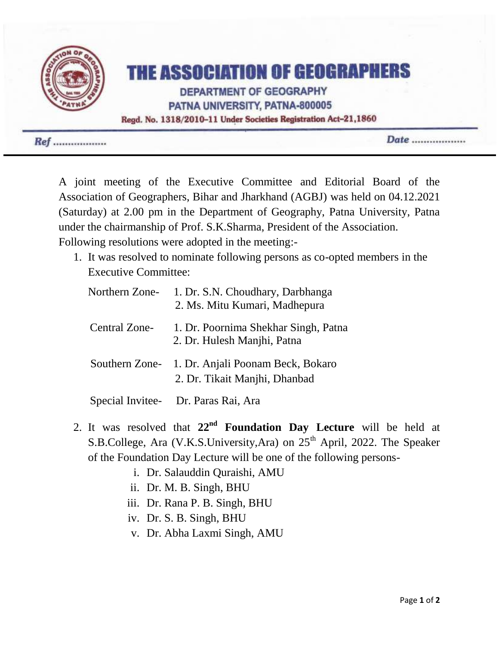

 $Ref$  ..................

Date ..................

A joint meeting of the Executive Committee and Editorial Board of the Association of Geographers, Bihar and Jharkhand (AGBJ) was held on 04.12.2021 (Saturday) at 2.00 pm in the Department of Geography, Patna University, Patna under the chairmanship of Prof. S.K.Sharma, President of the Association. Following resolutions were adopted in the meeting:-

1. It was resolved to nominate following persons as co-opted members in the Executive Committee:

| Northern Zone- | 1. Dr. S.N. Choudhary, Darbhanga<br>2. Ms. Mitu Kumari, Madhepura                 |
|----------------|-----------------------------------------------------------------------------------|
| Central Zone-  | 1. Dr. Poornima Shekhar Singh, Patna<br>2. Dr. Hulesh Manjhi, Patna               |
|                | Southern Zone- 1. Dr. Anjali Poonam Beck, Bokaro<br>2. Dr. Tikait Manjhi, Dhanbad |

Special Invitee- Dr. Paras Rai, Ara

- 2. It was resolved that **22nd Foundation Day Lecture** will be held at S.B.College, Ara (V.K.S.University,Ara) on 25<sup>th</sup> April, 2022. The Speaker of the Foundation Day Lecture will be one of the following persons
	- i. Dr. Salauddin Quraishi, AMU
	- ii. Dr. M. B. Singh, BHU
	- iii. Dr. Rana P. B. Singh, BHU
	- iv. Dr. S. B. Singh, BHU
	- v. Dr. Abha Laxmi Singh, AMU